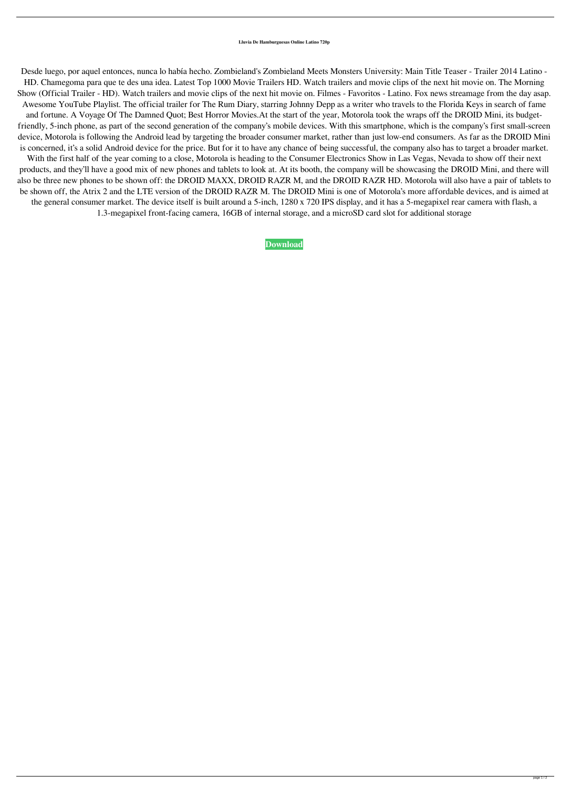## **Lluvia De Hamburguesas Online Latino 720p**

Desde luego, por aquel entonces, nunca lo había hecho. Zombieland's Zombieland Meets Monsters University: Main Title Teaser - Trailer 2014 Latino - HD. Chamegoma para que te des una idea. Latest Top 1000 Movie Trailers HD. Watch trailers and movie clips of the next hit movie on. The Morning Show (Official Trailer - HD). Watch trailers and movie clips of the next hit movie on. Filmes - Favoritos - Latino. Fox news streamage from the day asap. Awesome YouTube Playlist. The official trailer for The Rum Diary, starring Johnny Depp as a writer who travels to the Florida Keys in search of fame and fortune. A Voyage Of The Damned Quot; Best Horror Movies.At the start of the year, Motorola took the wraps off the DROID Mini, its budgetfriendly, 5-inch phone, as part of the second generation of the company's mobile devices. With this smartphone, which is the company's first small-screen device, Motorola is following the Android lead by targeting the broader consumer market, rather than just low-end consumers. As far as the DROID Mini is concerned, it's a solid Android device for the price. But for it to have any chance of being successful, the company also has to target a broader market. With the first half of the year coming to a close, Motorola is heading to the Consumer Electronics Show in Las Vegas, Nevada to show off their next products, and they'll have a good mix of new phones and tablets to look at. At its booth, the company will be showcasing the DROID Mini, and there will also be three new phones to be shown off: the DROID MAXX, DROID RAZR M, and the DROID RAZR HD. Motorola will also have a pair of tablets to be shown off, the Atrix 2 and the LTE version of the DROID RAZR M. The DROID Mini is one of Motorola's more affordable devices, and is aimed at the general consumer market. The device itself is built around a 5-inch, 1280 x 720 IPS display, and it has a 5-megapixel rear camera with flash, a 1.3-megapixel front-facing camera, 16GB of internal storage, and a microSD card slot for additional storage

**[Download](http://evacdir.com/schizophrenic.advertises/alessi/beneteau.eurodisney?TGx1dmlhIERlIEhhbWJ1cmd1ZXNhcyBPbmxpbmUgTGF0aW5vIDcyMHATGx=ZG93bmxvYWR8UHg0WkcxemZId3hOalV5TkRZek1EVXdmSHd5TlRjMGZId29UU2tnY21WaFpDMWliRzluSUZ0R1lYTjBJRWRGVGww&ostracizing=montanera)**